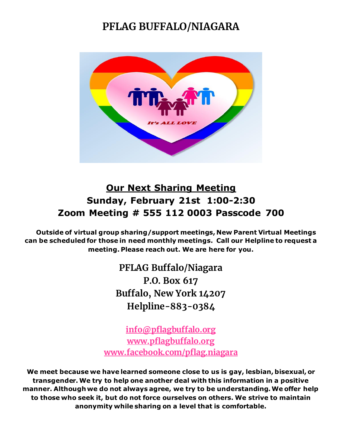### **PFLAG BUFFALO/NIAGARA**



### **Our Next Sharing Meeting Sunday, February 21st 1:00-2:30 Zoom Meeting # 555 112 0003 Passcode 700**

 **Outside of virtual group sharing/support meetings, New Parent Virtual Meetings can be scheduled for those in need monthly meetings. Call our Helpline to request a meeting. Please reach out. We are here for you.**

> **PFLAG Buffalo/Niagara P.O. Box 617 Buffalo, New York 14207 Helpline-883-0384**

**[info@pflagbuffalo.org](mailto:info@pflagbuffalo.org) [www.pflagbuffalo.org](http://www.pflagbuffalo.org/) www.facebook.com/pflag.niagara**

**We meet because we have learned someone close to us is gay, lesbian, bisexual, or transgender. We try to help one another deal with this information in a positive manner. Although we do not always agree, we try to be understanding. We offer help to those who seek it, but do not force ourselves on others. We strive to maintain anonymity while sharing on a level that is comfortable.**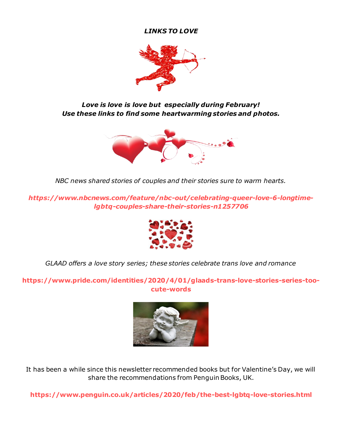#### *LINKS TO LOVE*



*Love is love is love but especially during February! Use these links to find some heartwarming stories and photos.*



*NBC news shared stories of couples and their stories sure to warm hearts.*

*https://www.nbcnews.com/feature/nbc-out/celebrating-queer-love-6-longtimelgbtq-couples-share-their-stories-n1257706*



*GLAAD offers a love story series; these stories celebrate trans love and romance*

**https://www.pride.com/identities/2020/4/01/glaads-trans-love-stories-series-toocute-words**



It has been a while since this newsletter recommended books but for Valentine's Day, we will share the recommendations from Penguin Books, UK.

**https://www.penguin.co.uk/articles/2020/feb/the-best-lgbtq-love-stories.html**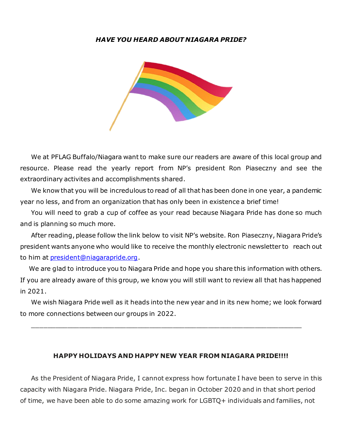#### *HAVE YOU HEARD ABOUT NIAGARA PRIDE?*



 We at PFLAG Buffalo/Niagara want to make sure our readers are aware of this local group and resource. Please read the yearly report from NP's president Ron Piaseczny and see the extraordinary activites and accomplishments shared.

 We know that you will be incredulous to read of all that has been done in one year, a pandemic year no less, and from an organization that has only been in existence a brief time!

 You will need to grab a cup of coffee as your read because Niagara Pride has done so much and is planning so much more.

 After reading, please follow the link below to visit NP's website. Ron Piaseczny, Niagara Pride's president wants anyone who would like to receive the monthly electronic newsletter to reach out to him at **president@niagarapride.org**.

 We are glad to introduce you to Niagara Pride and hope you share this information with others. If you are already aware of this group, we know you will still want to review all that has happened in 2021.

 We wish Niagara Pride well as it heads into the new year and in its new home; we look forward to more connections between our groups in 2022.

\_\_\_\_\_\_\_\_\_\_\_\_\_\_\_\_\_\_\_\_\_\_\_\_\_\_\_\_\_\_\_\_\_\_\_\_\_\_\_\_\_\_\_\_\_\_\_\_\_\_\_\_\_\_\_\_\_\_\_\_\_\_\_\_\_\_\_\_\_

#### **HAPPY HOLIDAYS AND HAPPY NEW YEAR FROM NIAGARA PRIDE!!!!**

 As the President of Niagara Pride, I cannot express how fortunate I have been to serve in this capacity with Niagara Pride. Niagara Pride, Inc. began in October 2020 and in that short period of time, we have been able to do some amazing work for LGBTQ+ individuals and families, not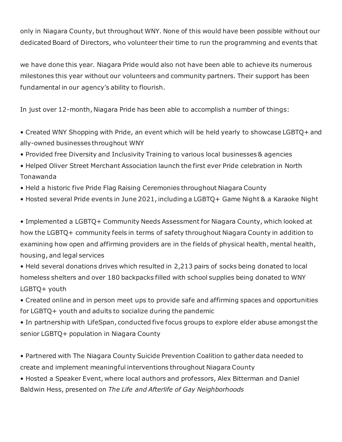only in Niagara County, but throughout WNY. None of this would have been possible without our dedicated Board of Directors, who volunteer their time to run the programming and events that

we have done this year. Niagara Pride would also not have been able to achieve its numerous milestones this year without our volunteers and community partners. Their support has been fundamental in our agency's ability to flourish.

In just over 12-month, Niagara Pride has been able to accomplish a number of things:

- Created WNY Shopping with Pride, an event which will be held yearly to showcase LGBTQ+ and ally-owned businesses throughout WNY
- Provided free Diversity and Inclusivity Training to various local businesses & agencies
- Helped Oliver Street Merchant Association launch the first ever Pride celebration in North Tonawanda
- Held a historic five Pride Flag Raising Ceremonies throughout Niagara County
- Hosted several Pride events in June 2021, including a LGBTQ+ Game Night & a Karaoke Night

• Implemented a LGBTQ+ Community Needs Assessment for Niagara County, which looked at how the LGBTQ+ community feels in terms of safety throughout Niagara County in addition to examining how open and affirming providers are in the fields of physical health, mental health, housing, and legal services

• Held several donations drives which resulted in 2,213 pairs of socks being donated to local homeless shelters and over 180 backpacks filled with school supplies being donated to WNY LGBTQ+ youth

• Created online and in person meet ups to provide safe and affirming spaces and opportunities for LGBTQ+ youth and adults to socialize during the pandemic

• In partnership with LifeSpan, conducted five focus groups to explore elder abuse amongst the senior LGBTQ+ population in Niagara County

• Partnered with The Niagara County Suicide Prevention Coalition to gather data needed to create and implement meaningful interventions throughout Niagara County

• Hosted a Speaker Event, where local authors and professors, Alex Bitterman and Daniel Baldwin Hess, presented on *The Life and Afterlife of Gay Neighborhoods*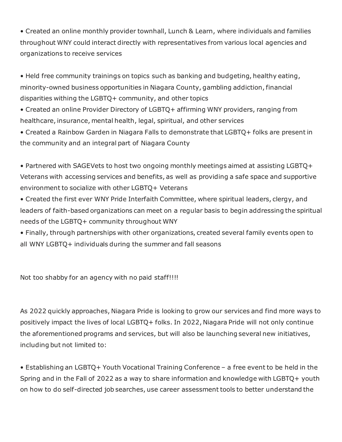• Created an online monthly provider townhall, Lunch & Learn, where individuals and families throughout WNY could interact directly with representatives from various local agencies and organizations to receive services

• Held free community trainings on topics such as banking and budgeting, healthy eating, minority-owned business opportunities in Niagara County, gambling addiction,financial disparities withing the LGBTQ+ community, and other topics

• Created an online Provider Directory of LGBTQ+ affirming WNY providers, ranging from healthcare, insurance, mental health, legal, spiritual, and other services

• Created a Rainbow Garden in Niagara Falls to demonstrate that LGBTQ+ folks are present in the community and an integral part of Niagara County

• Partnered with SAGEVets to host two ongoing monthly meetings aimed at assisting LGBTQ+ Veterans with accessing services and benefits, as well as providing a safe space and supportive environment to socialize with other LGBTQ+ Veterans

• Created the first ever WNY Pride Interfaith Committee, where spiritual leaders, clergy, and leaders of faith-based organizations can meet on a regular basis to begin addressing the spiritual needs of the LGBTQ+ community throughout WNY

• Finally, through partnerships with other organizations, created several family events open to all WNY LGBTQ+ individuals during the summer and fall seasons

Not too shabby for an agency with no paid staff!!!!

As 2022 quickly approaches, Niagara Pride is looking to grow our services and find more ways to positively impact the lives of local LGBTQ+ folks. In 2022, Niagara Pride will not only continue the aforementioned programs and services, but will also be launching several new initiatives, including but not limited to:

• Establishing an LGBTQ+ Youth Vocational Training Conference – a free event to be held in the Spring and in the Fall of 2022 as a way to share information and knowledge with LGBTQ+ youth on how to do self-directed job searches, use career assessment tools to better understand the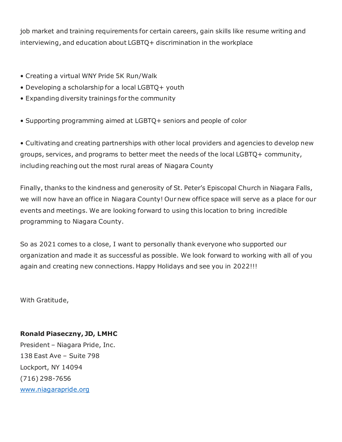job market and training requirements for certain careers, gain skills like resume writing and interviewing, and education about LGBTQ+ discrimination in the workplace

- Creating a virtual WNY Pride 5K Run/Walk
- Developing a scholarship for a local LGBTQ+ youth
- Expanding diversity trainings for the community
- Supporting programming aimed at LGBTQ+ seniors and people of color

• Cultivating and creating partnerships with other local providers and agencies to develop new groups, services, and programs to better meet the needs of the local LGBTQ+ community, including reaching out the most rural areas of Niagara County

Finally, thanks to the kindness and generosity of St. Peter's Episcopal Church in Niagara Falls, we will now have an office in Niagara County! Our new office space will serve as a place for our events and meetings. We are looking forward to using this location to bring incredible programming to Niagara County.

So as 2021 comes to a close, I want to personally thank everyone who supported our organization and made it as successful as possible. We look forward to working with all of you again and creating new connections. Happy Holidays and see you in 2022!!!

With Gratitude,

#### **Ronald Piaseczny, JD, LMHC**

President – Niagara Pride, Inc. 138 East Ave – Suite 798 Lockport, NY 14094 (716) 298-7656 [www.niagarapride.org](https://na01.safelinks.protection.outlook.com/?url=http%3A%2F%2Fwww.niagarapride.org%2F&data=04%7C01%7C%7C22a65a970f9346d53e8408d9cb9e3c3b%7C84df9e7fe9f640afb435aaaaaaaaaaaa%7C1%7C0%7C637764702741268294%7CUnknown%7CTWFpbGZsb3d8eyJWIjoiMC4wLjAwMDAiLCJQIjoiV2luMzIiLCJBTiI6Ik1haWwiLCJXVCI6Mn0%3D%7C3000&sdata=s2q7QEEDEVy%2B6nSUDc1P%2BINkFi2Fh8M31fxSVqYWBSg%3D&reserved=0)